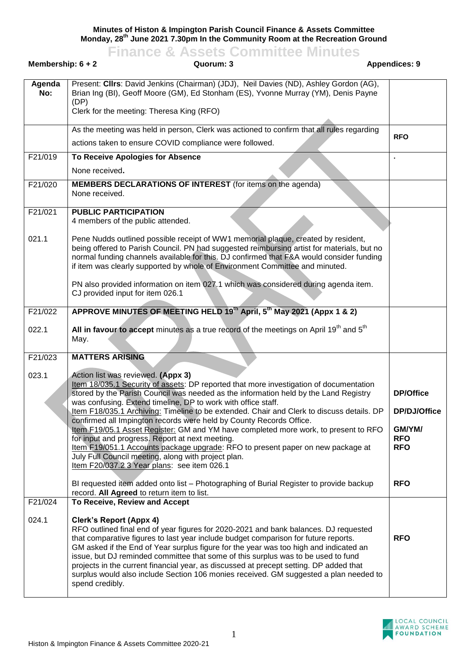**Minutes of Histon & Impington Parish Council Finance & Assets Committee Monday, 28th June 2021 7.30pm In the Community Room at the Recreation Ground**

|                                                          | <b>Finance &amp; Assets Committee Minutes</b>                                                                                                                                                                                                                                                                                                                                                                                                                                                                                                                                                                                                                                                                                                                                                |                                                                        |  |  |
|----------------------------------------------------------|----------------------------------------------------------------------------------------------------------------------------------------------------------------------------------------------------------------------------------------------------------------------------------------------------------------------------------------------------------------------------------------------------------------------------------------------------------------------------------------------------------------------------------------------------------------------------------------------------------------------------------------------------------------------------------------------------------------------------------------------------------------------------------------------|------------------------------------------------------------------------|--|--|
| Membership: $6 + 2$<br><b>Appendices: 9</b><br>Quorum: 3 |                                                                                                                                                                                                                                                                                                                                                                                                                                                                                                                                                                                                                                                                                                                                                                                              |                                                                        |  |  |
| Agenda<br>No:                                            | Present: CIIrs: David Jenkins (Chairman) (JDJ), Neil Davies (ND), Ashley Gordon (AG),<br>Brian Ing (BI), Geoff Moore (GM), Ed Stonham (ES), Yvonne Murray (YM), Denis Payne<br>(DP)<br>Clerk for the meeting: Theresa King (RFO)                                                                                                                                                                                                                                                                                                                                                                                                                                                                                                                                                             |                                                                        |  |  |
|                                                          | As the meeting was held in person, Clerk was actioned to confirm that all rules regarding                                                                                                                                                                                                                                                                                                                                                                                                                                                                                                                                                                                                                                                                                                    |                                                                        |  |  |
|                                                          | actions taken to ensure COVID compliance were followed.                                                                                                                                                                                                                                                                                                                                                                                                                                                                                                                                                                                                                                                                                                                                      | <b>RFO</b>                                                             |  |  |
| F21/019                                                  | To Receive Apologies for Absence<br>None received.                                                                                                                                                                                                                                                                                                                                                                                                                                                                                                                                                                                                                                                                                                                                           |                                                                        |  |  |
| F21/020                                                  | <b>MEMBERS DECLARATIONS OF INTEREST</b> (for items on the agenda)<br>None received.                                                                                                                                                                                                                                                                                                                                                                                                                                                                                                                                                                                                                                                                                                          |                                                                        |  |  |
| F21/021                                                  | <b>PUBLIC PARTICIPATION</b><br>4 members of the public attended.                                                                                                                                                                                                                                                                                                                                                                                                                                                                                                                                                                                                                                                                                                                             |                                                                        |  |  |
| 021.1                                                    | Pene Nudds outlined possible receipt of WW1 memorial plaque, created by resident,<br>being offered to Parish Council. PN had suggested reimbursing artist for materials, but no<br>normal funding channels available for this. DJ confirmed that F&A would consider funding<br>if item was clearly supported by whole of Environment Committee and minuted.                                                                                                                                                                                                                                                                                                                                                                                                                                  |                                                                        |  |  |
|                                                          | PN also provided information on item 027.1 which was considered during agenda item.<br>CJ provided input for item 026.1                                                                                                                                                                                                                                                                                                                                                                                                                                                                                                                                                                                                                                                                      |                                                                        |  |  |
| F21/022                                                  | APPROVE MINUTES OF MEETING HELD 19th April, 5th May 2021 (Appx 1 & 2)                                                                                                                                                                                                                                                                                                                                                                                                                                                                                                                                                                                                                                                                                                                        |                                                                        |  |  |
| 022.1                                                    | All in favour to accept minutes as a true record of the meetings on April 19 <sup>th</sup> and 5 <sup>th</sup><br>May.                                                                                                                                                                                                                                                                                                                                                                                                                                                                                                                                                                                                                                                                       |                                                                        |  |  |
| F21/023                                                  | <b>MATTERS ARISING</b>                                                                                                                                                                                                                                                                                                                                                                                                                                                                                                                                                                                                                                                                                                                                                                       |                                                                        |  |  |
| 023.1                                                    | Action list was reviewed. (Appx 3)<br>Item 18/035.1 Security of assets: DP reported that more investigation of documentation<br>stored by the Parish Council was needed as the information held by the Land Registry<br>was confusing. Extend timeline, DP to work with office staff.<br>Item F18/035.1 Archiving: Timeline to be extended. Chair and Clerk to discuss details. DP<br>confirmed all Impington records were held by County Records Office.<br>Item F19/05.1 Asset Register: GM and YM have completed more work, to present to RFO<br>for input and progress. Report at next meeting.<br>Item F19/051.1 Accounts package upgrade: RFO to present paper on new package at<br>July Full Council meeting, along with project plan.<br>Item F20/037.2 3 Year plans: see item 026.1 | <b>DP/Office</b><br>DP/DJ/Office<br>GM/YM/<br><b>RFO</b><br><b>RFO</b> |  |  |
|                                                          | BI requested item added onto list - Photographing of Burial Register to provide backup<br>record. All Agreed to return item to list.                                                                                                                                                                                                                                                                                                                                                                                                                                                                                                                                                                                                                                                         | <b>RFO</b>                                                             |  |  |
| F21/024<br>024.1                                         | To Receive, Review and Accept<br><b>Clerk's Report (Appx 4)</b><br>RFO outlined final end of year figures for 2020-2021 and bank balances. DJ requested<br>that comparative figures to last year include budget comparison for future reports.<br>GM asked if the End of Year surplus figure for the year was too high and indicated an<br>issue, but DJ reminded committee that some of this surplus was to be used to fund<br>projects in the current financial year, as discussed at precept setting. DP added that<br>surplus would also include Section 106 monies received. GM suggested a plan needed to<br>spend credibly.                                                                                                                                                           | <b>RFO</b>                                                             |  |  |

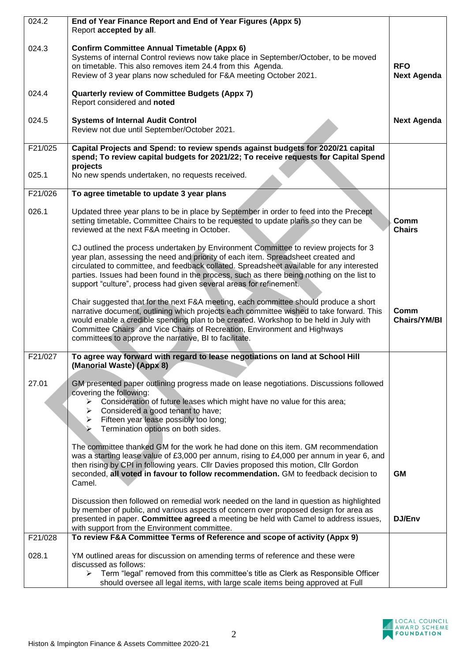| 024.2   | End of Year Finance Report and End of Year Figures (Appx 5)                                                                                                                                                                                                                                                                                                                                                                             |                                  |
|---------|-----------------------------------------------------------------------------------------------------------------------------------------------------------------------------------------------------------------------------------------------------------------------------------------------------------------------------------------------------------------------------------------------------------------------------------------|----------------------------------|
|         | Report accepted by all.                                                                                                                                                                                                                                                                                                                                                                                                                 |                                  |
| 024.3   | <b>Confirm Committee Annual Timetable (Appx 6)</b><br>Systems of internal Control reviews now take place in September/October, to be moved<br>on timetable. This also removes item 24.4 from this Agenda.<br>Review of 3 year plans now scheduled for F&A meeting October 2021.                                                                                                                                                         | <b>RFO</b><br><b>Next Agenda</b> |
| 024.4   | <b>Quarterly review of Committee Budgets (Appx 7)</b><br>Report considered and noted                                                                                                                                                                                                                                                                                                                                                    |                                  |
| 024.5   | <b>Systems of Internal Audit Control</b><br>Review not due until September/October 2021.                                                                                                                                                                                                                                                                                                                                                | <b>Next Agenda</b>               |
| F21/025 | Capital Projects and Spend: to review spends against budgets for 2020/21 capital<br>spend; To review capital budgets for 2021/22; To receive requests for Capital Spend<br>projects                                                                                                                                                                                                                                                     |                                  |
| 025.1   | No new spends undertaken, no requests received.                                                                                                                                                                                                                                                                                                                                                                                         |                                  |
| F21/026 | To agree timetable to update 3 year plans                                                                                                                                                                                                                                                                                                                                                                                               |                                  |
| 026.1   | Updated three year plans to be in place by September in order to feed into the Precept<br>setting timetable. Committee Chairs to be requested to update plans so they can be<br>reviewed at the next F&A meeting in October.                                                                                                                                                                                                            | Comm<br><b>Chairs</b>            |
|         | CJ outlined the process undertaken by Environment Committee to review projects for 3<br>year plan, assessing the need and priority of each item. Spreadsheet created and<br>circulated to committee, and feedback collated. Spreadsheet available for any interested<br>parties. Issues had been found in the process, such as there being nothing on the list to<br>support "culture", process had given several areas for refinement. |                                  |
|         | Chair suggested that for the next F&A meeting, each committee should produce a short<br>narrative document, outlining which projects each committee wished to take forward. This<br>would enable a credible spending plan to be created. Workshop to be held in July with<br>Committee Chairs and Vice Chairs of Recreation, Environment and Highways<br>committees to approve the narrative, BI to facilitate.                         | Comm<br><b>Chairs/YM/BI</b>      |
| F21/027 | To agree way forward with regard to lease negotiations on land at School Hill<br>(Manorial Waste) (Appx 8)                                                                                                                                                                                                                                                                                                                              |                                  |
| 27.01   | GM presented paper outlining progress made on lease negotiations. Discussions followed<br>covering the following:                                                                                                                                                                                                                                                                                                                       |                                  |
|         | Consideration of future leases which might have no value for this area;<br>➤<br>Considered a good tenant to have;<br>Fifteen year lease possibly too long;<br>Termination options on both sides.<br>⋗                                                                                                                                                                                                                                   |                                  |
|         | The committee thanked GM for the work he had done on this item. GM recommendation                                                                                                                                                                                                                                                                                                                                                       |                                  |
|         | was a starting lease value of £3,000 per annum, rising to £4,000 per annum in year 6, and<br>then rising by CPI in following years. Cllr Davies proposed this motion, Cllr Gordon<br>seconded, all voted in favour to follow recommendation. GM to feedback decision to<br>Camel.                                                                                                                                                       | <b>GM</b>                        |
|         | Discussion then followed on remedial work needed on the land in question as highlighted<br>by member of public, and various aspects of concern over proposed design for area as<br>presented in paper. Committee agreed a meeting be held with Camel to address issues,<br>with support from the Environment committee.                                                                                                                 | DJ/Env                           |
| F21/028 | To review F&A Committee Terms of Reference and scope of activity (Appx 9)                                                                                                                                                                                                                                                                                                                                                               |                                  |
| 028.1   | YM outlined areas for discussion on amending terms of reference and these were<br>discussed as follows:                                                                                                                                                                                                                                                                                                                                 |                                  |
|         | Term "legal" removed from this committee's title as Clerk as Responsible Officer<br>➤<br>should oversee all legal items, with large scale items being approved at Full                                                                                                                                                                                                                                                                  |                                  |